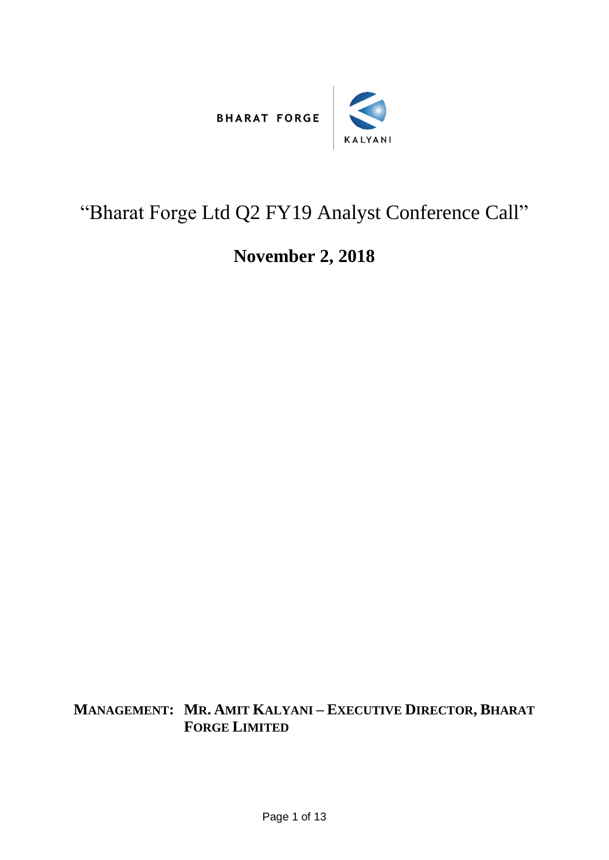



## "Bharat Forge Ltd Q2 FY19 Analyst Conference Call"

## **November 2, 2018**

**MANAGEMENT: MR. AMIT KALYANI – EXECUTIVE DIRECTOR, BHARAT FORGE LIMITED**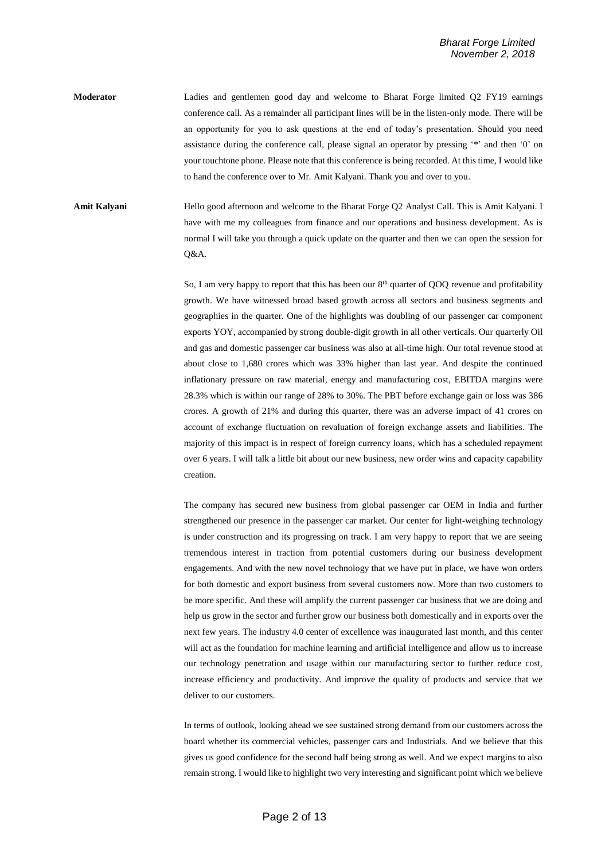**Moderator** Ladies and gentlemen good day and welcome to Bharat Forge limited Q2 FY19 earnings conference call. As a remainder all participant lines will be in the listen-only mode. There will be an opportunity for you to ask questions at the end of today's presentation. Should you need assistance during the conference call, please signal an operator by pressing '\*' and then '0' on your touchtone phone. Please note that this conference is being recorded. At this time, I would like to hand the conference over to Mr. Amit Kalyani. Thank you and over to you.

**Amit Kalyani** Hello good afternoon and welcome to the Bharat Forge Q2 Analyst Call. This is Amit Kalyani. I have with me my colleagues from finance and our operations and business development. As is normal I will take you through a quick update on the quarter and then we can open the session for Q&A.

> So, I am very happy to report that this has been our 8<sup>th</sup> quarter of QOQ revenue and profitability growth. We have witnessed broad based growth across all sectors and business segments and geographies in the quarter. One of the highlights was doubling of our passenger car component exports YOY, accompanied by strong double-digit growth in all other verticals. Our quarterly Oil and gas and domestic passenger car business was also at all-time high. Our total revenue stood at about close to 1,680 crores which was 33% higher than last year. And despite the continued inflationary pressure on raw material, energy and manufacturing cost, EBITDA margins were 28.3% which is within our range of 28% to 30%. The PBT before exchange gain or loss was 386 crores. A growth of 21% and during this quarter, there was an adverse impact of 41 crores on account of exchange fluctuation on revaluation of foreign exchange assets and liabilities. The majority of this impact is in respect of foreign currency loans, which has a scheduled repayment over 6 years. I will talk a little bit about our new business, new order wins and capacity capability creation.

> The company has secured new business from global passenger car OEM in India and further strengthened our presence in the passenger car market. Our center for light-weighing technology is under construction and its progressing on track. I am very happy to report that we are seeing tremendous interest in traction from potential customers during our business development engagements. And with the new novel technology that we have put in place, we have won orders for both domestic and export business from several customers now. More than two customers to be more specific. And these will amplify the current passenger car business that we are doing and help us grow in the sector and further grow our business both domestically and in exports over the next few years. The industry 4.0 center of excellence was inaugurated last month, and this center will act as the foundation for machine learning and artificial intelligence and allow us to increase our technology penetration and usage within our manufacturing sector to further reduce cost, increase efficiency and productivity. And improve the quality of products and service that we deliver to our customers.

> In terms of outlook, looking ahead we see sustained strong demand from our customers across the board whether its commercial vehicles, passenger cars and Industrials. And we believe that this gives us good confidence for the second half being strong as well. And we expect margins to also remain strong. I would like to highlight two very interesting and significant point which we believe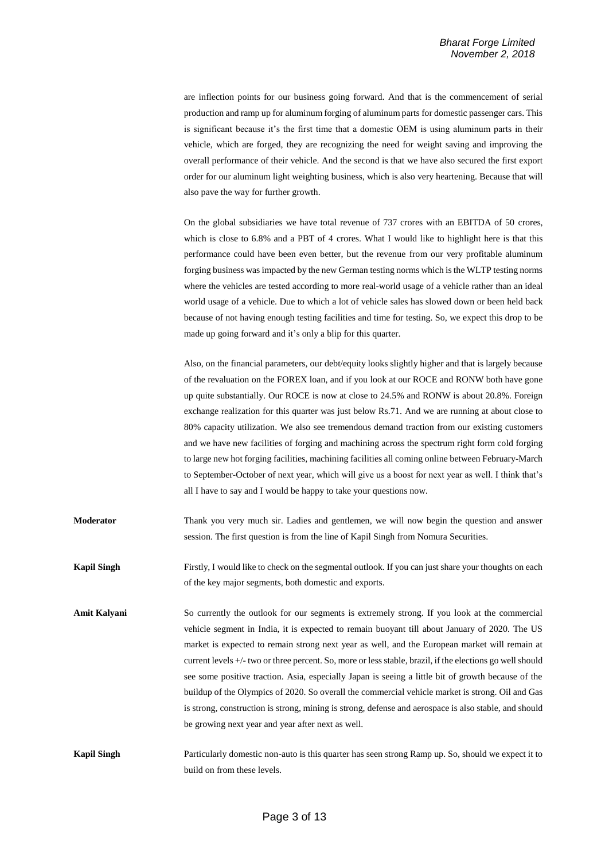are inflection points for our business going forward. And that is the commencement of serial production and ramp up for aluminum forging of aluminum parts for domestic passenger cars. This is significant because it's the first time that a domestic OEM is using aluminum parts in their vehicle, which are forged, they are recognizing the need for weight saving and improving the overall performance of their vehicle. And the second is that we have also secured the first export order for our aluminum light weighting business, which is also very heartening. Because that will also pave the way for further growth.

On the global subsidiaries we have total revenue of 737 crores with an EBITDA of 50 crores, which is close to 6.8% and a PBT of 4 crores. What I would like to highlight here is that this performance could have been even better, but the revenue from our very profitable aluminum forging business was impacted by the new German testing norms which is the WLTP testing norms where the vehicles are tested according to more real-world usage of a vehicle rather than an ideal world usage of a vehicle. Due to which a lot of vehicle sales has slowed down or been held back because of not having enough testing facilities and time for testing. So, we expect this drop to be made up going forward and it's only a blip for this quarter.

Also, on the financial parameters, our debt/equity looks slightly higher and that is largely because of the revaluation on the FOREX loan, and if you look at our ROCE and RONW both have gone up quite substantially. Our ROCE is now at close to 24.5% and RONW is about 20.8%. Foreign exchange realization for this quarter was just below Rs.71. And we are running at about close to 80% capacity utilization. We also see tremendous demand traction from our existing customers and we have new facilities of forging and machining across the spectrum right form cold forging to large new hot forging facilities, machining facilities all coming online between February-March to September-October of next year, which will give us a boost for next year as well. I think that's all I have to say and I would be happy to take your questions now.

- **Moderator** Thank you very much sir. Ladies and gentlemen, we will now begin the question and answer session. The first question is from the line of Kapil Singh from Nomura Securities.
- **Kapil Singh** Firstly, I would like to check on the segmental outlook. If you can just share your thoughts on each of the key major segments, both domestic and exports.
- **Amit Kalyani** So currently the outlook for our segments is extremely strong. If you look at the commercial vehicle segment in India, it is expected to remain buoyant till about January of 2020. The US market is expected to remain strong next year as well, and the European market will remain at current levels +/- two or three percent. So, more or less stable, brazil, if the elections go well should see some positive traction. Asia, especially Japan is seeing a little bit of growth because of the buildup of the Olympics of 2020. So overall the commercial vehicle market is strong. Oil and Gas is strong, construction is strong, mining is strong, defense and aerospace is also stable, and should be growing next year and year after next as well.
- **Kapil Singh** Particularly domestic non-auto is this quarter has seen strong Ramp up. So, should we expect it to build on from these levels.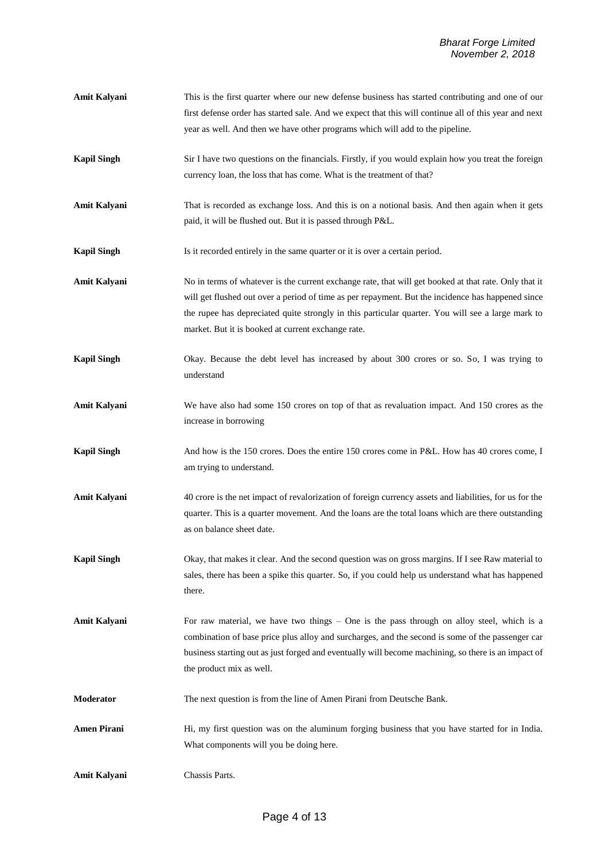- **Amit Kalyani** This is the first quarter where our new defense business has started contributing and one of our first defense order has started sale. And we expect that this will continue all of this year and next year as well. And then we have other programs which will add to the pipeline.
- **Kapil Singh** Sir I have two questions on the financials. Firstly, if you would explain how you treat the foreign currency loan, the loss that has come. What is the treatment of that?
- **Amit Kalyani** That is recorded as exchange loss. And this is on a notional basis. And then again when it gets paid, it will be flushed out. But it is passed through P&L.
- **Kapil Singh** Is it recorded entirely in the same quarter or it is over a certain period.
- **Amit Kalyani** No in terms of whatever is the current exchange rate, that will get booked at that rate. Only that it will get flushed out over a period of time as per repayment. But the incidence has happened since the rupee has depreciated quite strongly in this particular quarter. You will see a large mark to market. But it is booked at current exchange rate.
- **Kapil Singh** Okay. Because the debt level has increased by about 300 crores or so. So, I was trying to understand
- **Amit Kalyani** We have also had some 150 crores on top of that as revaluation impact. And 150 crores as the increase in borrowing
- **Kapil Singh** And how is the 150 crores. Does the entire 150 crores come in P&L. How has 40 crores come, I am trying to understand.
- **Amit Kalyani** 40 crore is the net impact of revalorization of foreign currency assets and liabilities, for us for the quarter. This is a quarter movement. And the loans are the total loans which are there outstanding as on balance sheet date.
- **Kapil Singh** Okay, that makes it clear. And the second question was on gross margins. If I see Raw material to sales, there has been a spike this quarter. So, if you could help us understand what has happened there.
- **Amit Kalyani** For raw material, we have two things One is the pass through on alloy steel, which is a combination of base price plus alloy and surcharges, and the second is some of the passenger car business starting out as just forged and eventually will become machining, so there is an impact of the product mix as well.
- **Moderator** The next question is from the line of Amen Pirani from Deutsche Bank.
- Amen Pirani **Hi, my first question was on the aluminum forging business that you have started for in India.** What components will you be doing here.
- **Amit Kalyani** Chassis Parts.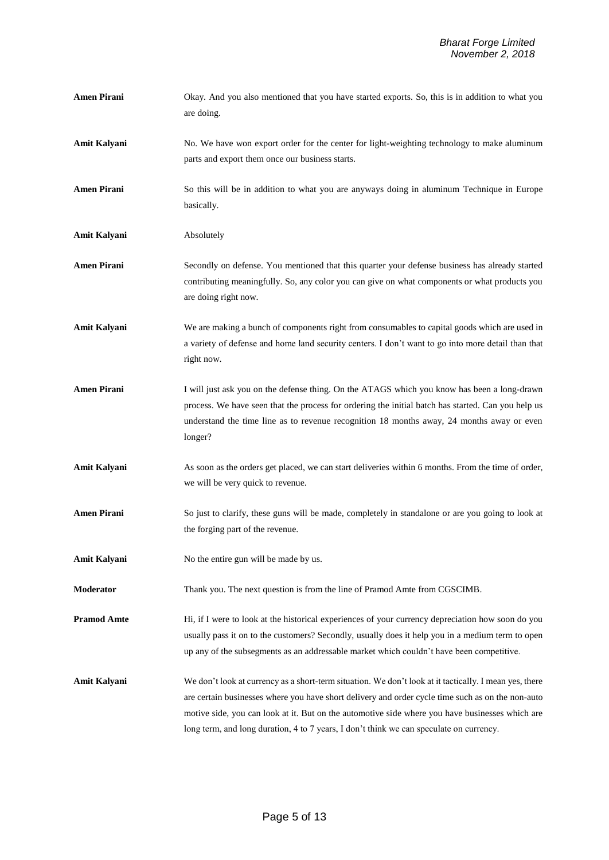- **Amen Pirani** Okay. And you also mentioned that you have started exports. So, this is in addition to what you are doing.
- Amit Kalyani No. We have won export order for the center for light-weighting technology to make aluminum parts and export them once our business starts.

**Amen Pirani** So this will be in addition to what you are anyways doing in aluminum Technique in Europe basically.

**Amit Kalyani** Absolutely

- **Amen Pirani** Secondly on defense. You mentioned that this quarter your defense business has already started contributing meaningfully. So, any color you can give on what components or what products you are doing right now.
- **Amit Kalyani** We are making a bunch of components right from consumables to capital goods which are used in a variety of defense and home land security centers. I don't want to go into more detail than that right now.
- **Amen Pirani** I will just ask you on the defense thing. On the ATAGS which you know has been a long-drawn process. We have seen that the process for ordering the initial batch has started. Can you help us understand the time line as to revenue recognition 18 months away, 24 months away or even longer?
- Amit Kalyani As soon as the orders get placed, we can start deliveries within 6 months. From the time of order, we will be very quick to revenue.
- **Amen Pirani** So just to clarify, these guns will be made, completely in standalone or are you going to look at the forging part of the revenue.
- **Amit Kalyani** No the entire gun will be made by us.
- **Moderator** Thank you. The next question is from the line of Pramod Amte from CGSCIMB.

**Pramod Amte** Hi, if I were to look at the historical experiences of your currency depreciation how soon do you usually pass it on to the customers? Secondly, usually does it help you in a medium term to open up any of the subsegments as an addressable market which couldn't have been competitive.

**Amit Kalyani** We don't look at currency as a short-term situation. We don't look at it tactically. I mean yes, there are certain businesses where you have short delivery and order cycle time such as on the non-auto motive side, you can look at it. But on the automotive side where you have businesses which are long term, and long duration, 4 to 7 years, I don't think we can speculate on currency.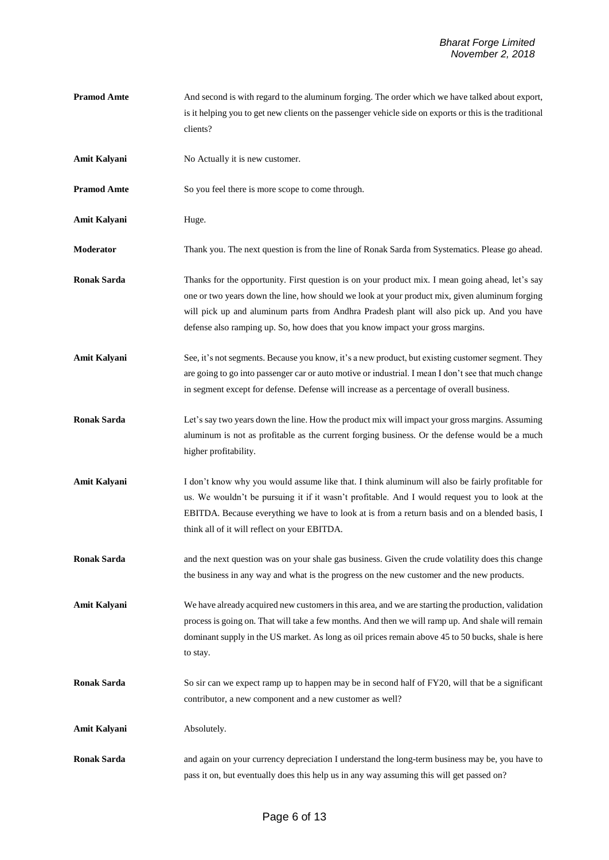- **Pramod Amte** And second is with regard to the aluminum forging. The order which we have talked about export, is it helping you to get new clients on the passenger vehicle side on exports or this is the traditional clients?
- **Amit Kalyani** No Actually it is new customer.
- **Pramod Amte** So you feel there is more scope to come through.
- **Amit Kalyani** Huge.
- **Moderator** Thank you. The next question is from the line of Ronak Sarda from Systematics. Please go ahead.
- **Ronak Sarda** Thanks for the opportunity. First question is on your product mix. I mean going ahead, let's say one or two years down the line, how should we look at your product mix, given aluminum forging will pick up and aluminum parts from Andhra Pradesh plant will also pick up. And you have defense also ramping up. So, how does that you know impact your gross margins.
- Amit Kalyani See, it's not segments. Because you know, it's a new product, but existing customer segment. They are going to go into passenger car or auto motive or industrial. I mean I don't see that much change in segment except for defense. Defense will increase as a percentage of overall business.
- **Ronak Sarda** Let's say two years down the line. How the product mix will impact your gross margins. Assuming aluminum is not as profitable as the current forging business. Or the defense would be a much higher profitability.
- Amit Kalyani I don't know why you would assume like that. I think aluminum will also be fairly profitable for us. We wouldn't be pursuing it if it wasn't profitable. And I would request you to look at the EBITDA. Because everything we have to look at is from a return basis and on a blended basis, I think all of it will reflect on your EBITDA.
- **Ronak Sarda** and the next question was on your shale gas business. Given the crude volatility does this change the business in any way and what is the progress on the new customer and the new products.
- Amit Kalyani We have already acquired new customers in this area, and we are starting the production, validation process is going on. That will take a few months. And then we will ramp up. And shale will remain dominant supply in the US market. As long as oil prices remain above 45 to 50 bucks, shale is here to stay.
- **Ronak Sarda** So sir can we expect ramp up to happen may be in second half of FY20, will that be a significant contributor, a new component and a new customer as well?

**Amit Kalyani** Absolutely.

**Ronak Sarda** and again on your currency depreciation I understand the long-term business may be, you have to pass it on, but eventually does this help us in any way assuming this will get passed on?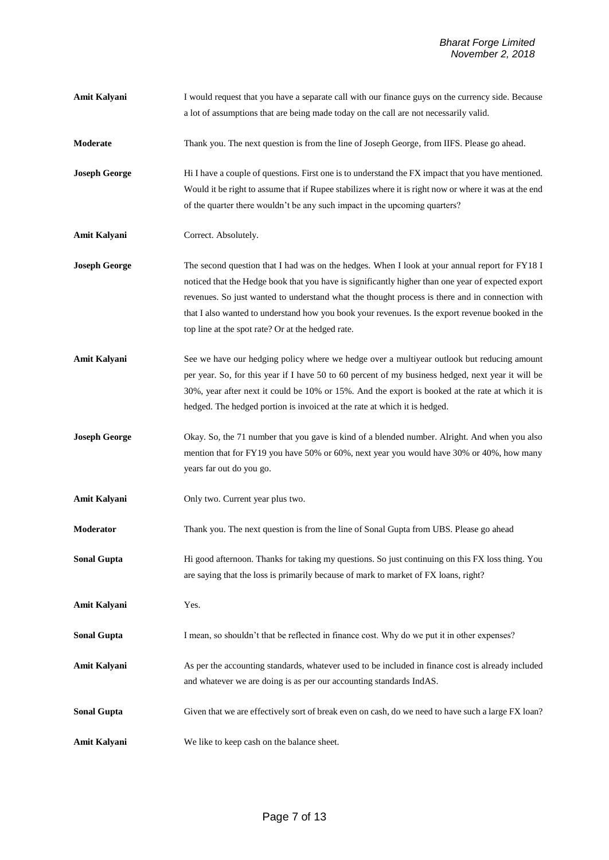**Moderate** Thank you. The next question is from the line of Joseph George, from IIFS. Please go ahead. **Joseph George** Hi I have a couple of questions. First one is to understand the FX impact that you have mentioned. Would it be right to assume that if Rupee stabilizes where it is right now or where it was at the end of the quarter there wouldn't be any such impact in the upcoming quarters? **Amit Kalyani** Correct. Absolutely. **Joseph George** The second question that I had was on the hedges. When I look at your annual report for FY18 I noticed that the Hedge book that you have is significantly higher than one year of expected export revenues. So just wanted to understand what the thought process is there and in connection with that I also wanted to understand how you book your revenues. Is the export revenue booked in the top line at the spot rate? Or at the hedged rate. Amit Kalyani See we have our hedging policy where we hedge over a multiyear outlook but reducing amount per year. So, for this year if I have 50 to 60 percent of my business hedged, next year it will be 30%, year after next it could be 10% or 15%. And the export is booked at the rate at which it is hedged. The hedged portion is invoiced at the rate at which it is hedged. **Joseph George** Okay. So, the 71 number that you gave is kind of a blended number. Alright. And when you also mention that for FY19 you have 50% or 60%, next year you would have 30% or 40%, how many years far out do you go. **Amit Kalyani** Only two. Current year plus two. **Moderator** Thank you. The next question is from the line of Sonal Gupta from UBS. Please go ahead **Sonal Gupta** Hi good afternoon. Thanks for taking my questions. So just continuing on this FX loss thing. You are saying that the loss is primarily because of mark to market of FX loans, right? **Amit Kalyani** Yes. **Sonal Gupta** I mean, so shouldn't that be reflected in finance cost. Why do we put it in other expenses? Amit Kalyani **As per the accounting standards**, whatever used to be included in finance cost is already included and whatever we are doing is as per our accounting standards IndAS. **Sonal Gupta** Given that we are effectively sort of break even on cash, do we need to have such a large FX loan?

**Amit Kalyani** I would request that you have a separate call with our finance guys on the currency side. Because

a lot of assumptions that are being made today on the call are not necessarily valid.

**Amit Kalyani** We like to keep cash on the balance sheet.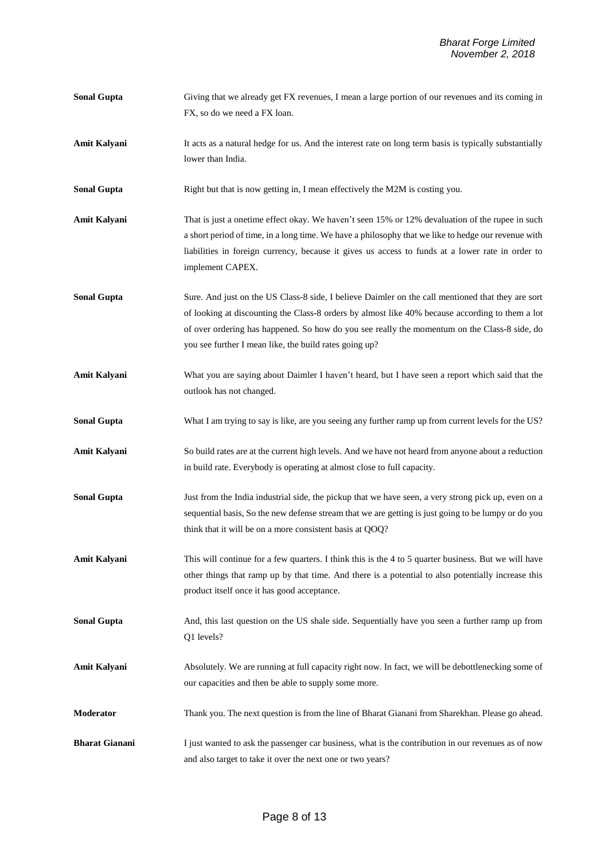| <b>Sonal Gupta</b>    | Giving that we already get FX revenues, I mean a large portion of our revenues and its coming in                     |
|-----------------------|----------------------------------------------------------------------------------------------------------------------|
|                       | FX, so do we need a FX loan.                                                                                         |
| Amit Kalyani          | It acts as a natural hedge for us. And the interest rate on long term basis is typically substantially               |
|                       | lower than India.                                                                                                    |
| <b>Sonal Gupta</b>    | Right but that is now getting in, I mean effectively the M2M is costing you.                                         |
| Amit Kalyani          | That is just a onetime effect okay. We haven't seen 15% or 12% devaluation of the rupee in such                      |
|                       | a short period of time, in a long time. We have a philosophy that we like to hedge our revenue with                  |
|                       | liabilities in foreign currency, because it gives us access to funds at a lower rate in order to<br>implement CAPEX. |
| <b>Sonal Gupta</b>    | Sure. And just on the US Class-8 side, I believe Daimler on the call mentioned that they are sort                    |
|                       | of looking at discounting the Class-8 orders by almost like 40% because according to them a lot                      |
|                       | of over ordering has happened. So how do you see really the momentum on the Class-8 side, do                         |
|                       | you see further I mean like, the build rates going up?                                                               |
| Amit Kalyani          | What you are saying about Daimler I haven't heard, but I have seen a report which said that the                      |
|                       | outlook has not changed.                                                                                             |
| <b>Sonal Gupta</b>    | What I am trying to say is like, are you seeing any further ramp up from current levels for the US?                  |
| <b>Amit Kalyani</b>   | So build rates are at the current high levels. And we have not heard from anyone about a reduction                   |
|                       | in build rate. Everybody is operating at almost close to full capacity.                                              |
| <b>Sonal Gupta</b>    | Just from the India industrial side, the pickup that we have seen, a very strong pick up, even on a                  |
|                       | sequential basis, So the new defense stream that we are getting is just going to be lumpy or do you                  |
|                       | think that it will be on a more consistent basis at QOQ?                                                             |
| <b>Amit Kalyani</b>   | This will continue for a few quarters. I think this is the 4 to 5 quarter business. But we will have                 |
|                       | other things that ramp up by that time. And there is a potential to also potentially increase this                   |
|                       | product itself once it has good acceptance.                                                                          |
| <b>Sonal Gupta</b>    | And, this last question on the US shale side. Sequentially have you seen a further ramp up from                      |
|                       | Q1 levels?                                                                                                           |
| Amit Kalyani          | Absolutely. We are running at full capacity right now. In fact, we will be debottlenecking some of                   |
|                       | our capacities and then be able to supply some more.                                                                 |
| Moderator             | Thank you. The next question is from the line of Bharat Gianani from Sharekhan. Please go ahead.                     |
| <b>Bharat Gianani</b> | I just wanted to ask the passenger car business, what is the contribution in our revenues as of now                  |
|                       | and also target to take it over the next one or two years?                                                           |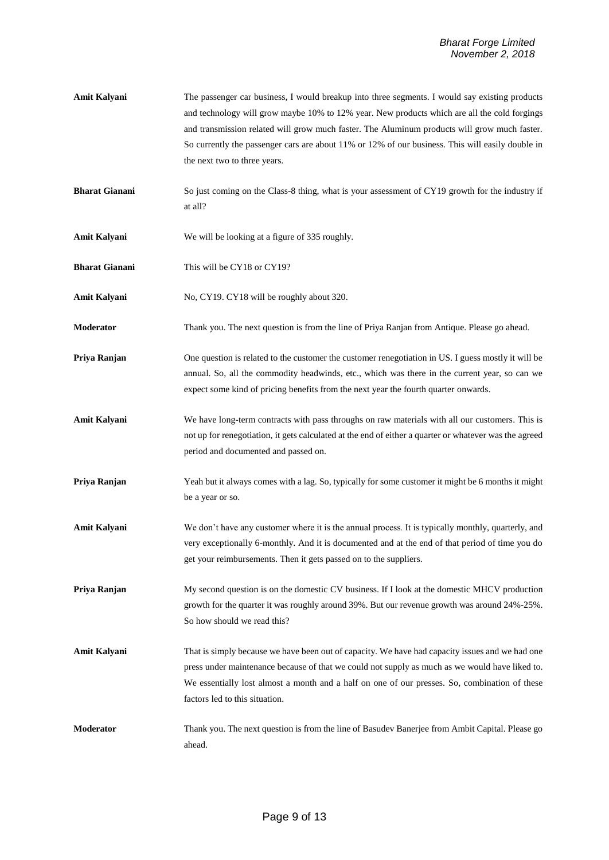- Amit Kalyani The passenger car business, I would breakup into three segments. I would say existing products and technology will grow maybe 10% to 12% year. New products which are all the cold forgings and transmission related will grow much faster. The Aluminum products will grow much faster. So currently the passenger cars are about 11% or 12% of our business. This will easily double in the next two to three years.
- **Bharat Gianani** So just coming on the Class-8 thing, what is your assessment of CY19 growth for the industry if at all?
- **Amit Kalyani** We will be looking at a figure of 335 roughly.
- **Bharat Gianani** This will be CY18 or CY19?
- Amit Kalyani No, CY19. CY18 will be roughly about 320.
- **Moderator** Thank you. The next question is from the line of Priya Ranjan from Antique. Please go ahead.

**Priya Ranjan** One question is related to the customer the customer renegotiation in US. I guess mostly it will be annual. So, all the commodity headwinds, etc., which was there in the current year, so can we expect some kind of pricing benefits from the next year the fourth quarter onwards.

- **Amit Kalyani** We have long-term contracts with pass throughs on raw materials with all our customers. This is not up for renegotiation, it gets calculated at the end of either a quarter or whatever was the agreed period and documented and passed on.
- **Priya Ranjan** Yeah but it always comes with a lag. So, typically for some customer it might be 6 months it might be a year or so.
- Amit Kalyani We don't have any customer where it is the annual process. It is typically monthly, quarterly, and very exceptionally 6-monthly. And it is documented and at the end of that period of time you do get your reimbursements. Then it gets passed on to the suppliers.

**Priya Ranjan** My second question is on the domestic CV business. If I look at the domestic MHCV production growth for the quarter it was roughly around 39%. But our revenue growth was around 24%-25%. So how should we read this?

- Amit Kalyani That is simply because we have been out of capacity. We have had capacity issues and we had one press under maintenance because of that we could not supply as much as we would have liked to. We essentially lost almost a month and a half on one of our presses. So, combination of these factors led to this situation.
- **Moderator** Thank you. The next question is from the line of Basudev Banerjee from Ambit Capital. Please go ahead.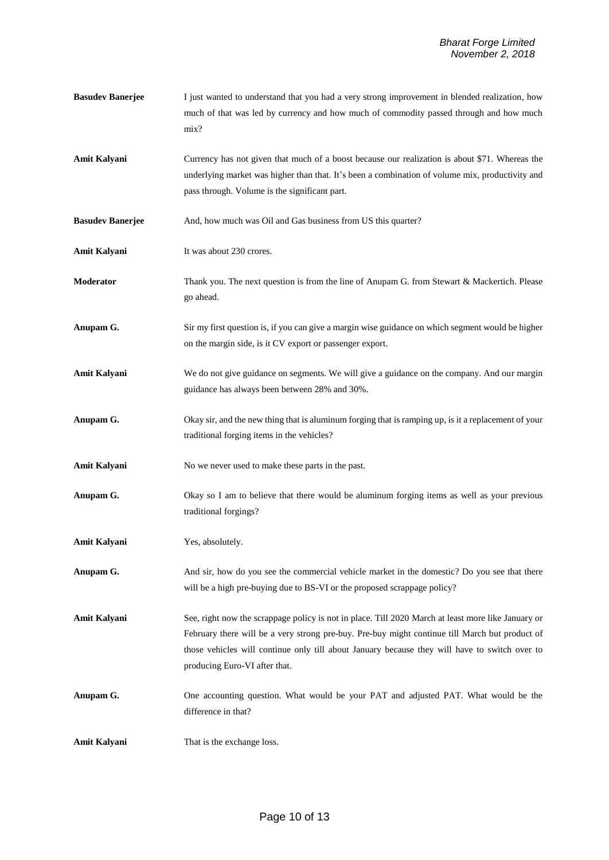- **Basudev Banerjee** I just wanted to understand that you had a very strong improvement in blended realization, how much of that was led by currency and how much of commodity passed through and how much mix?
- **Amit Kalyani** Currency has not given that much of a boost because our realization is about \$71. Whereas the underlying market was higher than that. It's been a combination of volume mix, productivity and pass through. Volume is the significant part.
- **Basudev Banerjee** And, how much was Oil and Gas business from US this quarter?
- **Amit Kalyani** It was about 230 crores.
- **Moderator** Thank you. The next question is from the line of Anupam G. from Stewart & Mackertich. Please go ahead.
- **Anupam G.** Sir my first question is, if you can give a margin wise guidance on which segment would be higher on the margin side, is it CV export or passenger export.
- **Amit Kalyani** We do not give guidance on segments. We will give a guidance on the company. And our margin guidance has always been between 28% and 30%.
- **Anupam G.** Okay sir, and the new thing that is aluminum forging that is ramping up, is it a replacement of your traditional forging items in the vehicles?
- Amit Kalyani No we never used to make these parts in the past.
- **Anupam G.** Okay so I am to believe that there would be aluminum forging items as well as your previous traditional forgings?
- **Amit Kalyani** Yes, absolutely.
- **Anupam G.** And sir, how do you see the commercial vehicle market in the domestic? Do you see that there will be a high pre-buying due to BS-VI or the proposed scrappage policy?
- **Amit Kalyani** See, right now the scrappage policy is not in place. Till 2020 March at least more like January or February there will be a very strong pre-buy. Pre-buy might continue till March but product of those vehicles will continue only till about January because they will have to switch over to producing Euro-VI after that.
- **Anupam G.** One accounting question. What would be your PAT and adjusted PAT. What would be the difference in that?
- **Amit Kalyani** That is the exchange loss.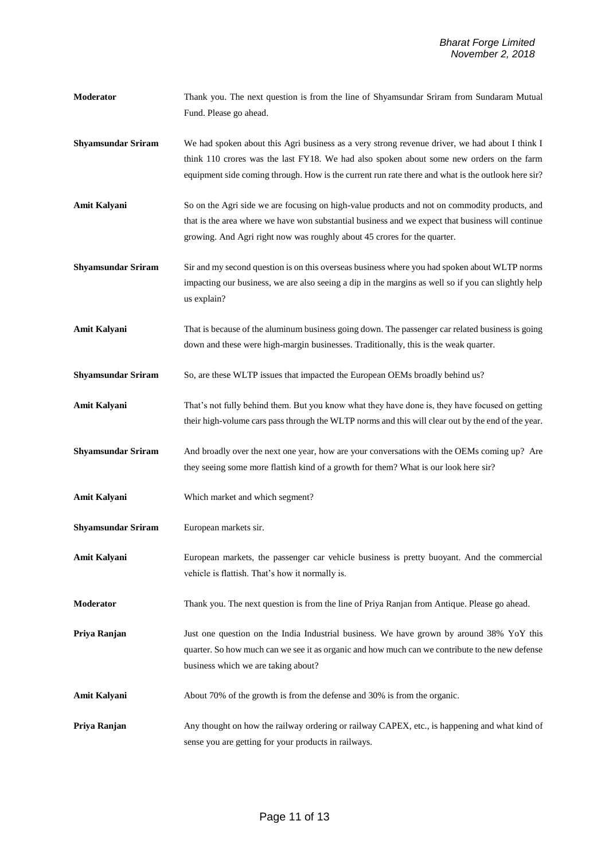- **Moderator** Thank you. The next question is from the line of Shyamsundar Sriram from Sundaram Mutual Fund. Please go ahead.
- **Shyamsundar Sriram** We had spoken about this Agri business as a very strong revenue driver, we had about I think I think 110 crores was the last FY18. We had also spoken about some new orders on the farm equipment side coming through. How is the current run rate there and what is the outlook here sir?
- **Amit Kalyani** So on the Agri side we are focusing on high-value products and not on commodity products, and that is the area where we have won substantial business and we expect that business will continue growing. And Agri right now was roughly about 45 crores for the quarter.
- **Shyamsundar Sriram** Sir and my second question is on this overseas business where you had spoken about WLTP norms impacting our business, we are also seeing a dip in the margins as well so if you can slightly help us explain?
- Amit Kalyani That is because of the aluminum business going down. The passenger car related business is going down and these were high-margin businesses. Traditionally, this is the weak quarter.
- **Shyamsundar Sriram** So, are these WLTP issues that impacted the European OEMs broadly behind us?
- **Amit Kalyani** That's not fully behind them. But you know what they have done is, they have focused on getting their high-volume cars pass through the WLTP norms and this will clear out by the end of the year.
- **Shyamsundar Sriram** And broadly over the next one year, how are your conversations with the OEMs coming up? Are they seeing some more flattish kind of a growth for them? What is our look here sir?
- **Amit Kalyani** Which market and which segment?
- **Shyamsundar Sriram** European markets sir.
- **Amit Kalyani** European markets, the passenger car vehicle business is pretty buoyant. And the commercial vehicle is flattish. That's how it normally is.
- **Moderator** Thank you. The next question is from the line of Priya Ranjan from Antique. Please go ahead.

**Priya Ranjan** Just one question on the India Industrial business. We have grown by around 38% YoY this quarter. So how much can we see it as organic and how much can we contribute to the new defense business which we are taking about?

- **Amit Kalyani** About 70% of the growth is from the defense and 30% is from the organic.
- **Priya Ranjan** Any thought on how the railway ordering or railway CAPEX, etc., is happening and what kind of sense you are getting for your products in railways.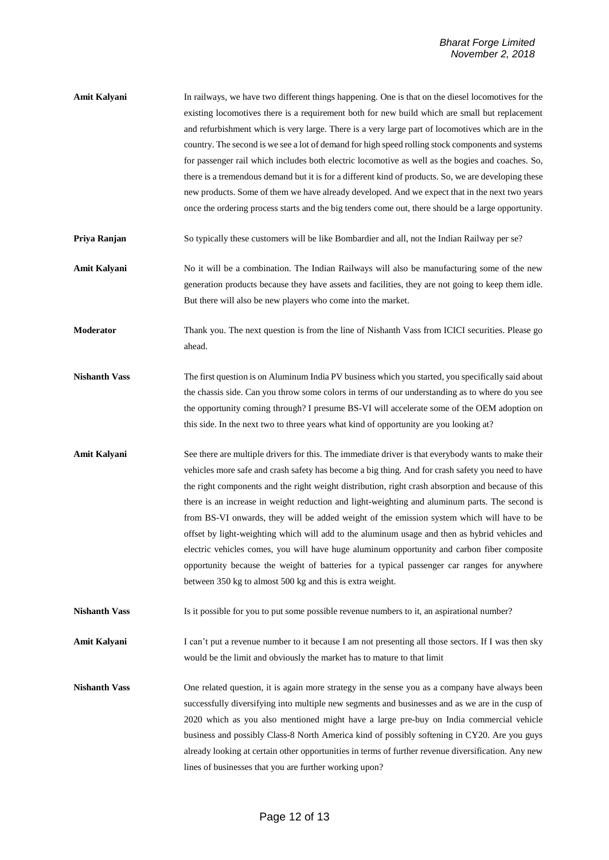- **Amit Kalyani** In railways, we have two different things happening. One is that on the diesel locomotives for the existing locomotives there is a requirement both for new build which are small but replacement and refurbishment which is very large. There is a very large part of locomotives which are in the country. The second is we see a lot of demand for high speed rolling stock components and systems for passenger rail which includes both electric locomotive as well as the bogies and coaches. So, there is a tremendous demand but it is for a different kind of products. So, we are developing these new products. Some of them we have already developed. And we expect that in the next two years once the ordering process starts and the big tenders come out, there should be a large opportunity.
- **Priya Ranjan** So typically these customers will be like Bombardier and all, not the Indian Railway per se?
- **Amit Kalyani** No it will be a combination. The Indian Railways will also be manufacturing some of the new generation products because they have assets and facilities, they are not going to keep them idle. But there will also be new players who come into the market.
- **Moderator** Thank you. The next question is from the line of Nishanth Vass from ICICI securities. Please go ahead.
- **Nishanth Vass** The first question is on Aluminum India PV business which you started, you specifically said about the chassis side. Can you throw some colors in terms of our understanding as to where do you see the opportunity coming through? I presume BS-VI will accelerate some of the OEM adoption on this side. In the next two to three years what kind of opportunity are you looking at?
- **Amit Kalyani** See there are multiple drivers for this. The immediate driver is that everybody wants to make their vehicles more safe and crash safety has become a big thing. And for crash safety you need to have the right components and the right weight distribution, right crash absorption and because of this there is an increase in weight reduction and light-weighting and aluminum parts. The second is from BS-VI onwards, they will be added weight of the emission system which will have to be offset by light-weighting which will add to the aluminum usage and then as hybrid vehicles and electric vehicles comes, you will have huge aluminum opportunity and carbon fiber composite opportunity because the weight of batteries for a typical passenger car ranges for anywhere between 350 kg to almost 500 kg and this is extra weight.
- **Nishanth Vass** Is it possible for you to put some possible revenue numbers to it, an aspirational number?

Amit Kalyani I can't put a revenue number to it because I am not presenting all those sectors. If I was then sky would be the limit and obviously the market has to mature to that limit

**Nishanth Vass** One related question, it is again more strategy in the sense you as a company have always been successfully diversifying into multiple new segments and businesses and as we are in the cusp of 2020 which as you also mentioned might have a large pre-buy on India commercial vehicle business and possibly Class-8 North America kind of possibly softening in CY20. Are you guys already looking at certain other opportunities in terms of further revenue diversification. Any new lines of businesses that you are further working upon?